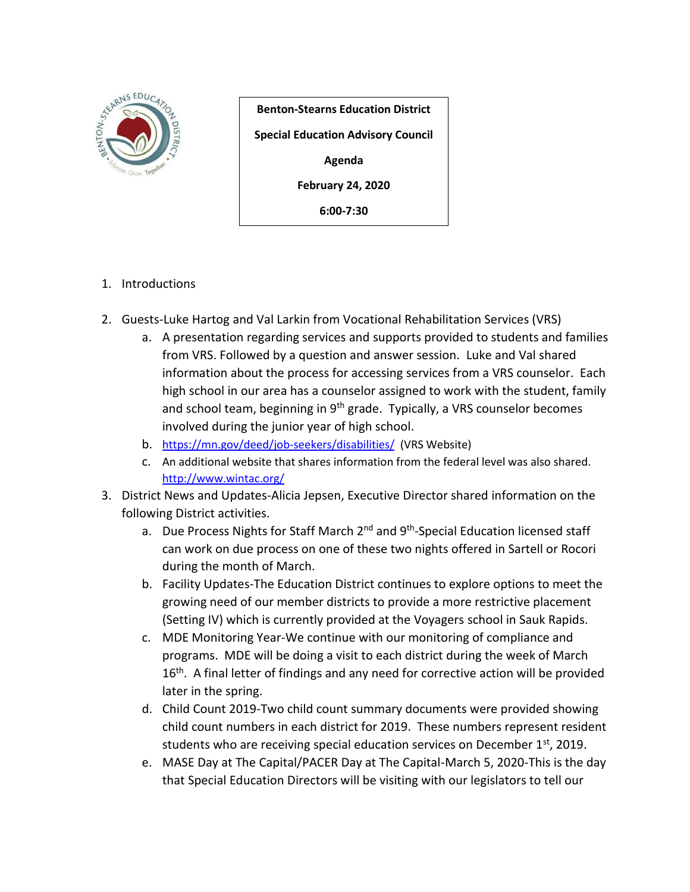

**Benton-Stearns Education District Special Education Advisory Council Agenda February 24, 2020 6:00-7:30**

- 1. Introductions
- 2. Guests-Luke Hartog and Val Larkin from Vocational Rehabilitation Services (VRS)
	- a. A presentation regarding services and supports provided to students and families from VRS. Followed by a question and answer session. Luke and Val shared information about the process for accessing services from a VRS counselor. Each high school in our area has a counselor assigned to work with the student, family and school team, beginning in 9<sup>th</sup> grade. Typically, a VRS counselor becomes involved during the junior year of high school.
	- b. <https://mn.gov/deed/job-seekers/disabilities/>(VRS Website)
	- c. An additional website that shares information from the federal level was also shared. <http://www.wintac.org/>
- 3. District News and Updates-Alicia Jepsen, Executive Director shared information on the following District activities.
	- a. Due Process Nights for Staff March 2<sup>nd</sup> and 9<sup>th</sup>-Special Education licensed staff can work on due process on one of these two nights offered in Sartell or Rocori during the month of March.
	- b. Facility Updates-The Education District continues to explore options to meet the growing need of our member districts to provide a more restrictive placement (Setting IV) which is currently provided at the Voyagers school in Sauk Rapids.
	- c. MDE Monitoring Year-We continue with our monitoring of compliance and programs. MDE will be doing a visit to each district during the week of March 16<sup>th</sup>. A final letter of findings and any need for corrective action will be provided later in the spring.
	- d. Child Count 2019-Two child count summary documents were provided showing child count numbers in each district for 2019. These numbers represent resident students who are receiving special education services on December  $1<sup>st</sup>$ , 2019.
	- e. MASE Day at The Capital/PACER Day at The Capital-March 5, 2020-This is the day that Special Education Directors will be visiting with our legislators to tell our